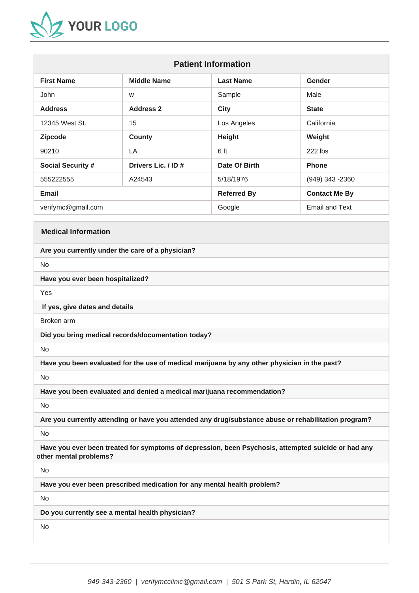

| <b>Patient Information</b> |                     |                    |                       |
|----------------------------|---------------------|--------------------|-----------------------|
| <b>First Name</b>          | <b>Middle Name</b>  | <b>Last Name</b>   | Gender                |
| John                       | W                   | Sample             | Male                  |
| <b>Address</b>             | <b>Address 2</b>    | <b>City</b>        | <b>State</b>          |
| 12345 West St.             | 15                  | Los Angeles        | California            |
| <b>Zipcode</b>             | <b>County</b>       | <b>Height</b>      | Weight                |
| 90210                      | LA                  | 6 ft               | 222 lbs               |
| <b>Social Security #</b>   | Drivers Lic. / ID # | Date Of Birth      | <b>Phone</b>          |
| 555222555                  | A24543              | 5/18/1976          | (949) 343 -2360       |
| <b>Email</b>               |                     | <b>Referred By</b> | <b>Contact Me By</b>  |
| verifymc@gmail.com         |                     | Google             | <b>Email and Text</b> |

### **Medical Information**

#### **Are you currently under the care of a physician?**

No

**Have you ever been hospitalized?**

Yes

**If yes, give dates and details**

Broken arm

**Did you bring medical records/documentation today?**

No

**Have you been evaluated for the use of medical marijuana by any other physician in the past?**

No

**Have you been evaluated and denied a medical marijuana recommendation?**

No

**Are you currently attending or have you attended any drug/substance abuse or rehabilitation program?** 

No

 **Have you ever been treated for symptoms of depression, been Psychosis, attempted suicide or had any other mental problems?**

No

**Have you ever been prescribed medication for any mental health problem?**

No

**Do you currently see a mental health physician?**

No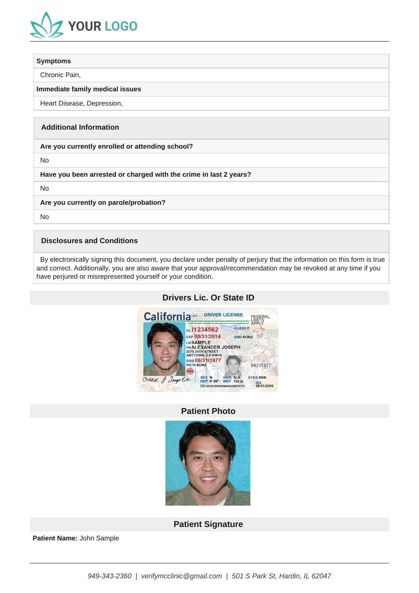

#### **Symptoms**

Chronic Pain,

#### **Immediate family medical issues**

Heart Disease, Depression,

# **Additional Information**

**Are you currently enrolled or attending school?**

No

**Have you been arrested or charged with the crime in last 2 years?**

No

**Are you currently on parole/probation?**

No

## **Disclosures and Conditions**

 By electronically signing this document, you declare under penalty of perjury that the information on this form is true and correct. Additionally, you are also aware that your approval/recommendation may be revoked at any time if you have perjured or misrepresented yourself or your condition.



# **Drivers Lic. Or State ID**

# **Patient Photo**



**Patient Signature**

**Patient Name:** John Sample